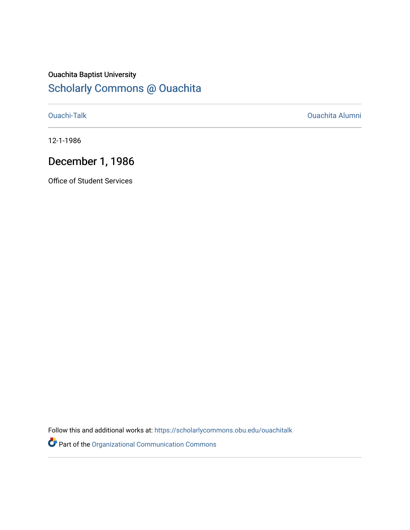## Ouachita Baptist University [Scholarly Commons @ Ouachita](https://scholarlycommons.obu.edu/)

[Ouachi-Talk](https://scholarlycommons.obu.edu/ouachitalk) [Ouachita Alumni](https://scholarlycommons.obu.edu/obu_alum) 

12-1-1986

# December 1, 1986

Office of Student Services

Follow this and additional works at: [https://scholarlycommons.obu.edu/ouachitalk](https://scholarlycommons.obu.edu/ouachitalk?utm_source=scholarlycommons.obu.edu%2Fouachitalk%2F191&utm_medium=PDF&utm_campaign=PDFCoverPages) 

Part of the [Organizational Communication Commons](http://network.bepress.com/hgg/discipline/335?utm_source=scholarlycommons.obu.edu%2Fouachitalk%2F191&utm_medium=PDF&utm_campaign=PDFCoverPages)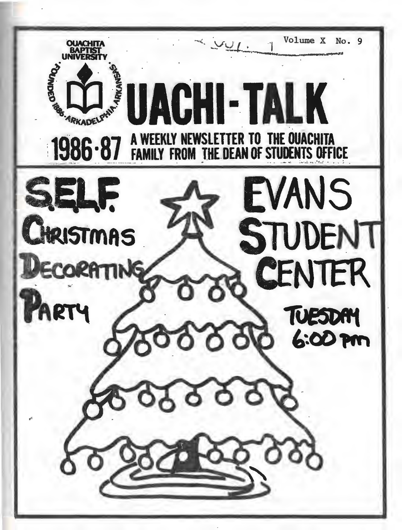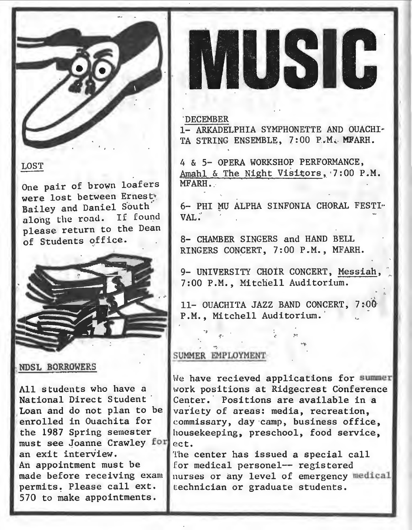

### LOST

One pair of brown loafers were lost between Ernest\* Bailey and Daniel South alohg the road. If found please return to the Dean of Students office.



#### NDSL BORROWERS

All students who have a National Direct Student Loan and do not plan to be enrolled in Ouachita for the 1987 Spring semester must see Joanne Crawley for an exit interview. An appointment must be made before receiving exam permits. Please call ext. , 570 to make appointments.



#### 'DECEMBER

1- ARKADELPHIA SYMPHONETTE AND OUACHI-TA STRING ENSEMBLE, 7:00 P.M. MFARH.

4 & 5- OPERA WORKSHOP PERFORMANCE, Amahl & The Night Visitors, 7:00 P.M. MFARH ..

6- PHI MU ALPHA SINFONIA CHORAL FESTI .. VAL;'

8- CHAMBER SINGERS and HAND BELL RINGERS CONCERT, 7:00 P.M., MFARH.

9- UNIVERSITY CHOIR CONCERT, Messiah, 7:00P.M., Mitchell Auditorium.

11- OUACHITA JAZZ BAND CONCERT, 7:00 P.M., Mitchell Auditorium. '

<·

#### SUMMER EMPLOYMENT

We have recieved applications for summer work positions at Ridgecrest Conference Center. Positions are available in a variety of areas: media, recreation. commissary, day camp, business office, housekeeping, preschool, food service, ect.

The center has issued a special call for medical personel-- registered nurses or any level of emergency medical technician or graduate students.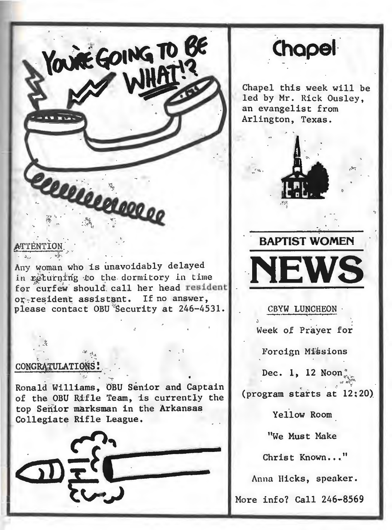

**\_(hopei·** 

Chapel this week will be led by Mr. Rick Ousley, an evangelist from Arlington, Texas.

1\.!•.

., '



CBYW LUNCHEON · Week of Prayer for

Forcign Missions

Dec. 1, 12 Noon

 $\mathbf{r} = \mathbf{r}$  ,  $\mathbf{r} = \mathbf{r}$  ,  $\mathbf{r} = \mathbf{r}$  ,  $\mathbf{r} = \mathbf{r}$  ,  $\mathbf{r} = \mathbf{r}$  ,  $\mathbf{r} = \mathbf{r}$  ,  $\mathbf{r} = \mathbf{r}$  ,  $\mathbf{r} = \mathbf{r}$  ,  $\mathbf{r} = \mathbf{r}$  ,  $\mathbf{r} = \mathbf{r}$  ,  $\mathbf{r} = \mathbf{r}$  ,  $\mathbf{r} = \mathbf{r}$  ,  $\mathbf{$ (program starts at 12:20)

Yellow Room

"We Must Make

Christ Known..."

Anna Hicks, speaker.

More info? Call 246-8569